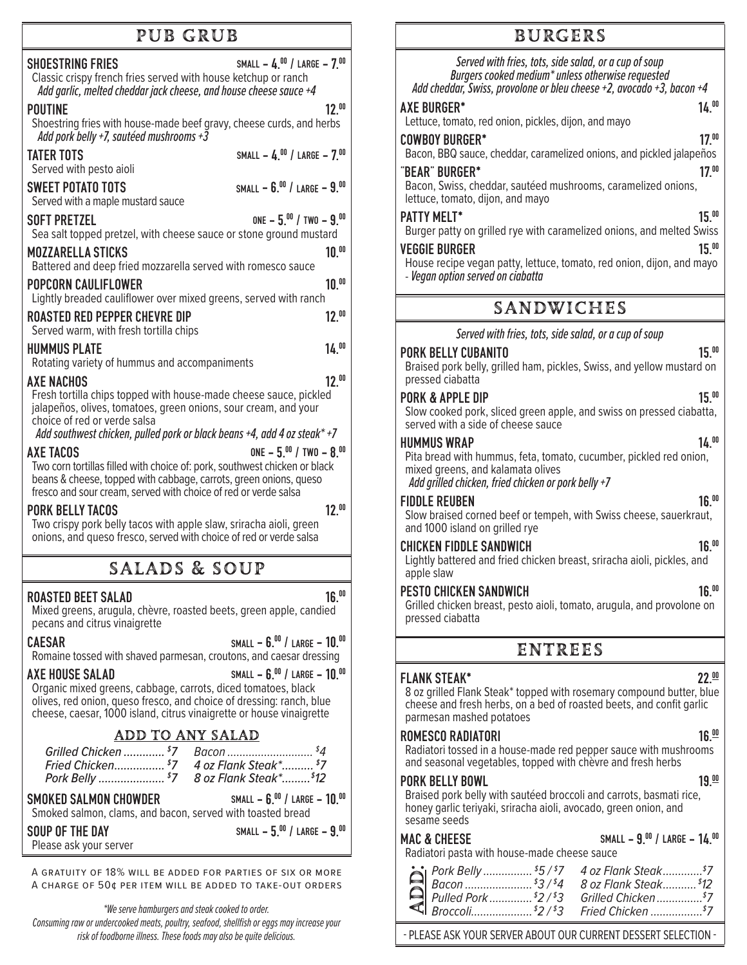## pub grub

| <b>SHOESTRING FRIES</b><br>Classic crispy french fries served with house ketchup or ranch<br>Add garlic, melted cheddar jack cheese, and house cheese sauce +4                                                                                                                                                     | SMALL - $4.00$ / LARGE - $7.00$        |  |
|--------------------------------------------------------------------------------------------------------------------------------------------------------------------------------------------------------------------------------------------------------------------------------------------------------------------|----------------------------------------|--|
| <b>POUTINE</b><br>Shoestring fries with house-made beef gravy, cheese curds, and herbs<br>Add pork belly +7, sautéed mushrooms +3                                                                                                                                                                                  | $12^{00}$                              |  |
| <b>TATER TOTS</b><br>Served with pesto aioli                                                                                                                                                                                                                                                                       | SMALL - $4.^{00}$ / LARGE - $7.^{00}$  |  |
| <b>SWEET POTATO TOTS</b><br>Served with a maple mustard sauce                                                                                                                                                                                                                                                      | SMALL - $6.^{00}$ / LARGE - $9.^{00}$  |  |
| <b>SOFT PRETZEL</b><br>Sea salt topped pretzel, with cheese sauce or stone ground mustard                                                                                                                                                                                                                          | ONE $-5^{00}$ / TWO $-9^{00}$          |  |
| <b>MOZZARELLA STICKS</b><br>Battered and deep fried mozzarella served with romesco sauce                                                                                                                                                                                                                           | $10^{00}$                              |  |
| <b>POPCORN CAULIFLOWER</b><br>Lightly breaded cauliflower over mixed greens, served with ranch                                                                                                                                                                                                                     | $10.^{00}$                             |  |
| <b>ROASTED RED PEPPER CHEVRE DIP</b><br>Served warm, with fresh tortilla chips                                                                                                                                                                                                                                     | $12.^{00}$                             |  |
| <b>HUMMUS PLATE</b><br>Rotating variety of hummus and accompaniments                                                                                                                                                                                                                                               | 14.00                                  |  |
| $12^{00}$<br><b>AXE NACHOS</b><br>Fresh tortilla chips topped with house-made cheese sauce, pickled<br>jalapeños, olives, tomatoes, green onions, sour cream, and your<br>choice of red or verde salsa                                                                                                             |                                        |  |
| Add southwest chicken, pulled pork or black beans +4, add 4 oz steak* +7<br><b>AXE TACOS</b><br>Two corn tortillas filled with choice of: pork, southwest chicken or black<br>beans & cheese, topped with cabbage, carrots, green onions, queso<br>fresco and sour cream, served with choice of red or verde salsa | ONE $-5.^{00}$ / TWO $-8.^{00}$        |  |
| <b>PORK BELLY TACOS</b><br>Two crispy pork belly tacos with apple slaw, sriracha aioli, green<br>onions, and queso fresco, served with choice of red or verde salsa                                                                                                                                                | $12^{00}$                              |  |
| <b>SALADS &amp; SOUP</b>                                                                                                                                                                                                                                                                                           |                                        |  |
| <b>ROASTED BEET SALAD</b><br>Mixed greens, arugula, chèvre, roasted beets, green apple, candied<br>pecans and citrus vinaigrette                                                                                                                                                                                   | $16^{00}$                              |  |
| SMALL - $6.^{00}$ / Large - $10.^{00}$<br><b>CAESAR</b><br>Romaine tossed with shaved parmesan, croutons, and caesar dressing                                                                                                                                                                                      |                                        |  |
| AXE HOUSE SALAD<br>Organic mixed greens, cabbage, carrots, diced tomatoes, black<br>olives, red onion, queso fresco, and choice of dressing: ranch, blue<br>cheese, caesar, 1000 island, citrus vinaigrette or house vinaigrette                                                                                   | SMALL - 6.00 / LARGE - 10.00           |  |
| <b>ADD TO ANY SALAD</b>                                                                                                                                                                                                                                                                                            |                                        |  |
| Grilled Chicken  \$7<br>Fried Chicken \$7 4 oz Flank Steak* \$7<br>Pork Belly  \$7 8 oz Flank Steak* \$12                                                                                                                                                                                                          |                                        |  |
| <b>SMOKED SALMON CHOWDER</b><br>Smoked salmon, clams, and bacon, served with toasted bread                                                                                                                                                                                                                         | SMALL - $6.^{00}$ / LARGE - $10.^{00}$ |  |
| SOUP OF THE DAY<br>Please ask your server                                                                                                                                                                                                                                                                          | SMALL - $5.^{00}$ / LARGE - $9.^{00}$  |  |

A gratuity of 18% will be added for parties of six or more A charge of 50¢ per item will be added to take-out orders

*\*We serve hamburgers and steak cooked to order.*

*Consuming raw or undercooked meats, poultry, seafood, shellfish or eggs may increase your risk of foodborne illness. These foods may also be quite delicious.*

## **BURGERS**

| Served with fries, tots, side salad, or a cup of soup<br>Burgers cooked medium* unless otherwise requested<br>Add cheddar, Swiss, provolone or bleu cheese +2, avocado +3, bacon +4<br><b>AXE BURGER*</b><br>Lettuce, tomato, red onion, pickles, dijon, and mayo<br><b>COWBOY BURGER*</b><br>Bacon, BBQ sauce, cheddar, caramelized onions, and pickled jalapeños<br>'BEAR" BURGER*<br>Bacon, Swiss, cheddar, sautéed mushrooms, caramelized onions,<br>lettuce, tomato, dijon, and mayo<br><b>PATTY MELT*</b><br>Burger patty on grilled rye with caramelized onions, and melted Swiss<br><b>VEGGIE BURGER</b><br>House recipe vegan patty, lettuce, tomato, red onion, dijon, and mayo<br>- Vegan option served on ciabatta | 14.00<br>17 <sup>00</sup><br>17 <sup>00</sup><br>15.00<br>15.00                                                              |
|--------------------------------------------------------------------------------------------------------------------------------------------------------------------------------------------------------------------------------------------------------------------------------------------------------------------------------------------------------------------------------------------------------------------------------------------------------------------------------------------------------------------------------------------------------------------------------------------------------------------------------------------------------------------------------------------------------------------------------|------------------------------------------------------------------------------------------------------------------------------|
| <b>SANDWICHES</b>                                                                                                                                                                                                                                                                                                                                                                                                                                                                                                                                                                                                                                                                                                              |                                                                                                                              |
| Served with fries, tots, side salad, or a cup of soup                                                                                                                                                                                                                                                                                                                                                                                                                                                                                                                                                                                                                                                                          |                                                                                                                              |
| <b>PORK BELLY CUBANITO</b><br>Braised pork belly, grilled ham, pickles, Swiss, and yellow mustard on<br>pressed ciabatta                                                                                                                                                                                                                                                                                                                                                                                                                                                                                                                                                                                                       | 15.00                                                                                                                        |
| PORK & APPLE DIP<br>Slow cooked pork, sliced green apple, and swiss on pressed ciabatta,<br>served with a side of cheese sauce                                                                                                                                                                                                                                                                                                                                                                                                                                                                                                                                                                                                 | $15^{00}$                                                                                                                    |
| <b>HUMMUS WRAP</b><br>Pita bread with hummus, feta, tomato, cucumber, pickled red onion,<br>mixed greens, and kalamata olives<br>Add grilled chicken, fried chicken or pork belly +7                                                                                                                                                                                                                                                                                                                                                                                                                                                                                                                                           | 14.00                                                                                                                        |
| FIDDLE REUBEN<br>Slow braised corned beef or tempeh, with Swiss cheese, sauerkraut,<br>and 1000 island on grilled rye                                                                                                                                                                                                                                                                                                                                                                                                                                                                                                                                                                                                          | 16. <sup>00</sup>                                                                                                            |
| <b>CHICKEN FIDDLE SANDWICH</b><br>Lightly battered and fried chicken breast, sriracha aioli, pickles, and<br>apple slaw                                                                                                                                                                                                                                                                                                                                                                                                                                                                                                                                                                                                        | 16.00                                                                                                                        |
| <b>PESTO CHICKEN SANDWICH</b><br>Grilled chicken breast, pesto aioli, tomato, arugula, and provolone on<br>pressed ciabatta                                                                                                                                                                                                                                                                                                                                                                                                                                                                                                                                                                                                    | 16.'''                                                                                                                       |
| <b>ENTREES</b>                                                                                                                                                                                                                                                                                                                                                                                                                                                                                                                                                                                                                                                                                                                 |                                                                                                                              |
| <b>FLANK STEAK*</b><br>22.00<br>8 oz grilled Flank Steak* topped with rosemary compound butter, blue<br>cheese and fresh herbs, on a bed of roasted beets, and confit garlic<br>parmesan mashed potatoes                                                                                                                                                                                                                                                                                                                                                                                                                                                                                                                       |                                                                                                                              |
| ROMESCO RADIATORI<br>Radiatori tossed in a house-made red pepper sauce with mushrooms<br>and seasonal vegetables, topped with chevre and fresh herbs                                                                                                                                                                                                                                                                                                                                                                                                                                                                                                                                                                           | 16.00                                                                                                                        |
| <b>PORK BELLY BOWL</b><br>Braised pork belly with sautéed broccoli and carrots, basmati rice,<br>honey garlic teriyaki, sriracha aioli, avocado, green onion, and<br>sesame seeds                                                                                                                                                                                                                                                                                                                                                                                                                                                                                                                                              | 19.00                                                                                                                        |
| <b>MAC &amp; CHEESE</b><br>Radiatori pasta with house-made cheese sauce                                                                                                                                                                                                                                                                                                                                                                                                                                                                                                                                                                                                                                                        | SMALL - $9.^{00}$ / LARGE - $14.^{00}$                                                                                       |
| Pork Belly  \$5/\$7                                                                                                                                                                                                                                                                                                                                                                                                                                                                                                                                                                                                                                                                                                            | 4 oz Flank Steak <sup>\$</sup> 7<br>8 oz Flank Steak <sup>\$</sup> 12<br>Grilled Chicken <sup>\$7</sup><br>Fried Chicken \$7 |

- PLEASE ASK YOUR SERVER ABOUT OUR CURRENT DESSERT SELECTION -